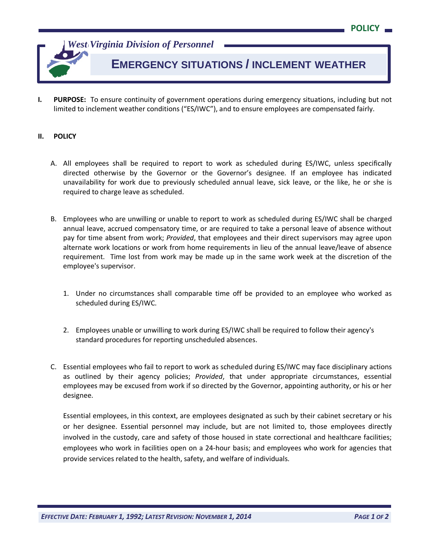*West Virginia Division of Personnel*

## **EMERGENCY SITUATIONS / INCLEMENT WEATHER**

**I. PURPOSE:** To ensure continuity of government operations during emergency situations, including but not limited to inclement weather conditions ("ES/IWC"), and to ensure employees are compensated fairly.

## **II. POLICY**

- A. All employees shall be required to report to work as scheduled during ES/IWC, unless specifically directed otherwise by the Governor or the Governor's designee. If an employee has indicated unavailability for work due to previously scheduled annual leave, sick leave, or the like, he or she is required to charge leave as scheduled.
- B. Employees who are unwilling or unable to report to work as scheduled during ES/IWC shall be charged annual leave, accrued compensatory time, or are required to take a personal leave of absence without pay for time absent from work; *Provided*, that employees and their direct supervisors may agree upon alternate work locations or work from home requirements in lieu of the annual leave/leave of absence requirement. Time lost from work may be made up in the same work week at the discretion of the employee's supervisor.
	- 1. Under no circumstances shall comparable time off be provided to an employee who worked as scheduled during ES/IWC.
	- 2. Employees unable or unwilling to work during ES/IWC shall be required to follow their agency's standard procedures for reporting unscheduled absences.
- C. Essential employees who fail to report to work as scheduled during ES/IWC may face disciplinary actions as outlined by their agency policies; *Provided*, that under appropriate circumstances, essential employees may be excused from work if so directed by the Governor, appointing authority, or his or her designee.

Essential employees, in this context, are employees designated as such by their cabinet secretary or his or her designee. Essential personnel may include, but are not limited to, those employees directly involved in the custody, care and safety of those housed in state correctional and healthcare facilities; employees who work in facilities open on a 24-hour basis; and employees who work for agencies that provide services related to the health, safety, and welfare of individuals.